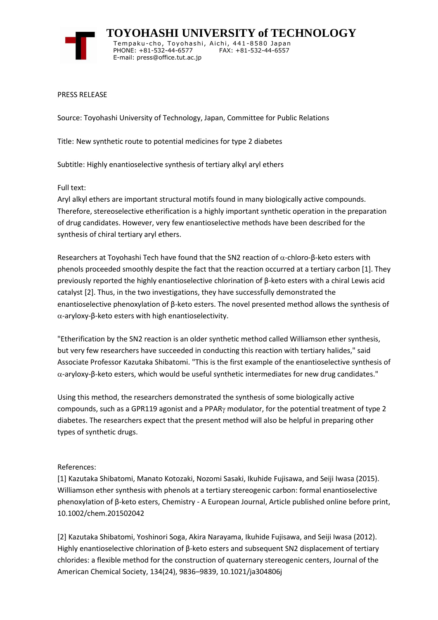

 **TOYOHASHI UNIVERSITY of TECHNOLOGY** Tempaku-cho, Toyohashi, Aichi, 441-8580 Japan PHONE: +81-532-44-6577 FAX: +81-532-44-6557 E-mail: press@office.tut.ac.jp

PRESS RELEASE

Source: Toyohashi University of Technology, Japan, Committee for Public Relations

Title: New synthetic route to potential medicines for type 2 diabetes

Subtitle: Highly enantioselective synthesis of tertiary alkyl aryl ethers

Full text:

Aryl alkyl ethers are important structural motifs found in many biologically active compounds. Therefore, stereoselective etherification is a highly important synthetic operation in the preparation of drug candidates. However, very few enantioselective methods have been described for the synthesis of chiral tertiary aryl ethers.

Researchers at Toyohashi Tech have found that the SN2 reaction of  $\alpha$ -chloro-β-keto esters with phenols proceeded smoothly despite the fact that the reaction occurred at a tertiary carbon [1]. They previously reported the highly enantioselective chlorination of β-keto esters with a chiral Lewis acid catalyst [2]. Thus, in the two investigations, they have successfully demonstrated the enantioselective phenoxylation of β-keto esters. The novel presented method allows the synthesis of  $α$ -aryloxy-β-keto esters with high enantioselectivity.

"Etherification by the SN2 reaction is an older synthetic method called Williamson ether synthesis, but very few researchers have succeeded in conducting this reaction with tertiary halides," said Associate Professor Kazutaka Shibatomi. "This is the first example of the enantioselective synthesis of -aryloxy-β-keto esters, which would be useful synthetic intermediates for new drug candidates."

Using this method, the researchers demonstrated the synthesis of some biologically active compounds, such as a GPR119 agonist and a PPAR $\gamma$  modulator, for the potential treatment of type 2 diabetes. The researchers expect that the present method will also be helpful in preparing other types of synthetic drugs.

## References:

[1] Kazutaka Shibatomi, Manato Kotozaki, Nozomi Sasaki, Ikuhide Fujisawa, and Seiji Iwasa (2015). Williamson ether synthesis with phenols at a tertiary stereogenic carbon: formal enantioselective phenoxylation of β-keto esters, Chemistry - A European Journal, Article published online before print, 10.1002/chem.201502042

[2] Kazutaka Shibatomi, Yoshinori Soga, Akira Narayama, Ikuhide Fujisawa, and Seiji Iwasa (2012). Highly enantioselective chlorination of β-keto esters and subsequent SN2 displacement of tertiary chlorides: a flexible method for the construction of quaternary stereogenic centers, Journal of the American Chemical Society, 134(24), 9836–9839, 10.1021/ja304806j